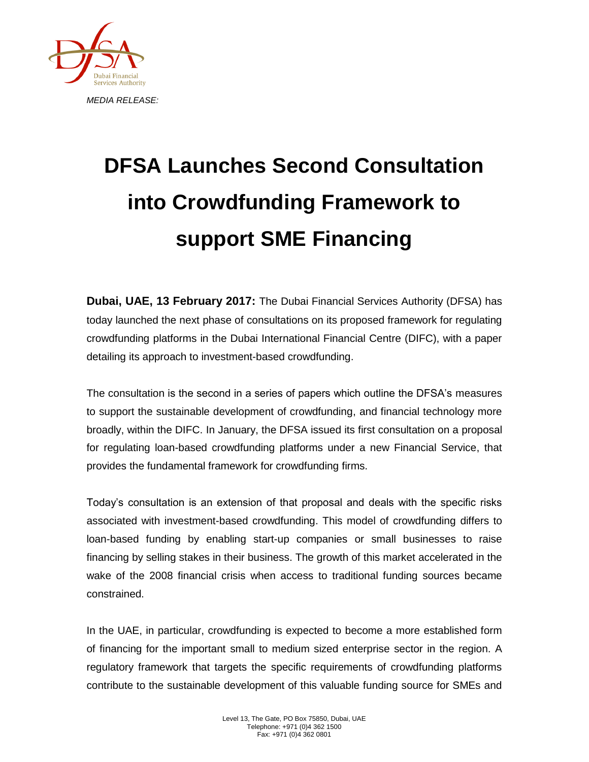

## **DFSA Launches Second Consultation into Crowdfunding Framework to support SME Financing**

**Dubai, UAE, 13 February 2017:** The Dubai Financial Services Authority (DFSA) has today launched the next phase of consultations on its proposed framework for regulating crowdfunding platforms in the Dubai International Financial Centre (DIFC), with a paper detailing its approach to investment-based crowdfunding.

The consultation is the second in a series of papers which outline the DFSA's measures to support the sustainable development of crowdfunding, and financial technology more broadly, within the DIFC. In January, the DFSA issued its first consultation on a proposal for regulating loan-based crowdfunding platforms under a new Financial Service, that provides the fundamental framework for crowdfunding firms.

Today's consultation is an extension of that proposal and deals with the specific risks associated with investment-based crowdfunding. This model of crowdfunding differs to loan-based funding by enabling start-up companies or small businesses to raise financing by selling stakes in their business. The growth of this market accelerated in the wake of the 2008 financial crisis when access to traditional funding sources became constrained.

In the UAE, in particular, crowdfunding is expected to become a more established form of financing for the important small to medium sized enterprise sector in the region. A regulatory framework that targets the specific requirements of crowdfunding platforms contribute to the sustainable development of this valuable funding source for SMEs and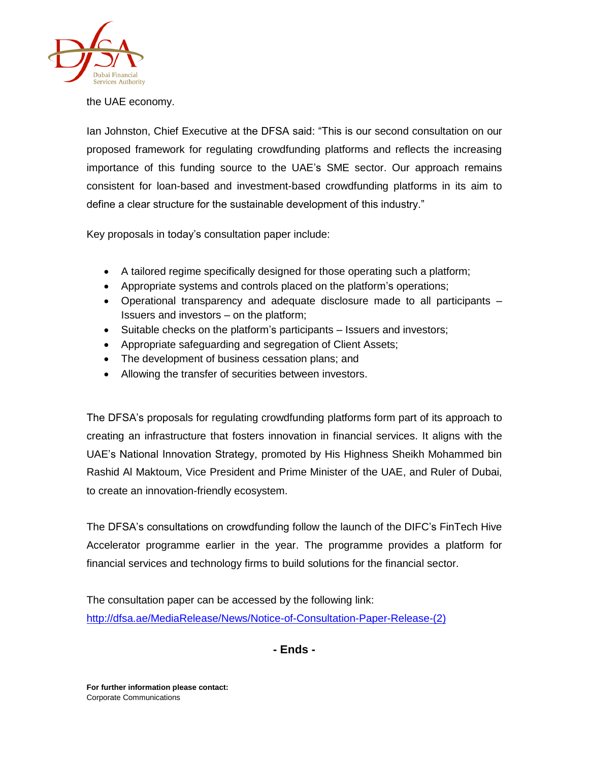

the UAE economy.

Ian Johnston, Chief Executive at the DFSA said: "This is our second consultation on our proposed framework for regulating crowdfunding platforms and reflects the increasing importance of this funding source to the UAE's SME sector. Our approach remains consistent for loan-based and investment-based crowdfunding platforms in its aim to define a clear structure for the sustainable development of this industry."

Key proposals in today's consultation paper include:

- A tailored regime specifically designed for those operating such a platform;
- Appropriate systems and controls placed on the platform's operations;
- Operational transparency and adequate disclosure made to all participants Issuers and investors – on the platform;
- Suitable checks on the platform's participants Issuers and investors;
- Appropriate safeguarding and segregation of Client Assets;
- The development of business cessation plans; and
- Allowing the transfer of securities between investors.

The DFSA's proposals for regulating crowdfunding platforms form part of its approach to creating an infrastructure that fosters innovation in financial services. It aligns with the UAE's National Innovation Strategy, promoted by His Highness Sheikh Mohammed bin Rashid Al Maktoum, Vice President and Prime Minister of the UAE, and Ruler of Dubai, to create an innovation-friendly ecosystem.

The DFSA's consultations on crowdfunding follow the launch of the DIFC's FinTech Hive Accelerator programme earlier in the year. The programme provides a platform for financial services and technology firms to build solutions for the financial sector.

The consultation paper can be accessed by the following link: [http://dfsa.ae/MediaRelease/News/Notice-of-Consultation-Paper-Release-\(2\)](http://dfsa.ae/MediaRelease/News/Notice-of-Consultation-Paper-Release-(2))

**- Ends -**